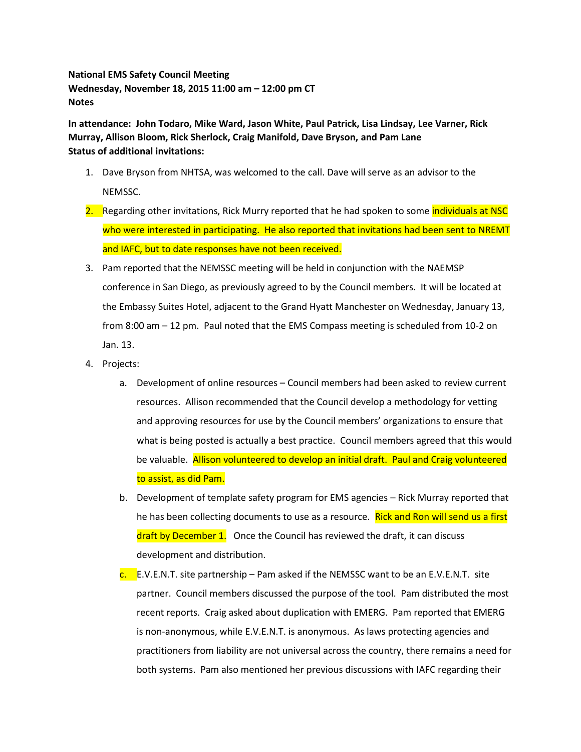**National EMS Safety Council Meeting Wednesday, November 18, 2015 11:00 am – 12:00 pm CT Notes**

**In attendance: John Todaro, Mike Ward, Jason White, Paul Patrick, Lisa Lindsay, Lee Varner, Rick Murray, Allison Bloom, Rick Sherlock, Craig Manifold, Dave Bryson, and Pam Lane Status of additional invitations:**

- 1. Dave Bryson from NHTSA, was welcomed to the call. Dave will serve as an advisor to the NEMSSC.
- 2. Regarding other invitations, Rick Murry reported that he had spoken to some *individuals at NSC* who were interested in participating. He also reported that invitations had been sent to NREMT and IAFC, but to date responses have not been received.
- 3. Pam reported that the NEMSSC meeting will be held in conjunction with the NAEMSP conference in San Diego, as previously agreed to by the Council members. It will be located at the Embassy Suites Hotel, adjacent to the Grand Hyatt Manchester on Wednesday, January 13, from 8:00 am – 12 pm. Paul noted that the EMS Compass meeting is scheduled from 10-2 on Jan. 13.
- 4. Projects:
	- a. Development of online resources Council members had been asked to review current resources. Allison recommended that the Council develop a methodology for vetting and approving resources for use by the Council members' organizations to ensure that what is being posted is actually a best practice. Council members agreed that this would be valuable. Allison volunteered to develop an initial draft. Paul and Craig volunteered to assist, as did Pam.
	- b. Development of template safety program for EMS agencies Rick Murray reported that he has been collecting documents to use as a resource. Rick and Ron will send us a first draft by December 1. Once the Council has reviewed the draft, it can discuss development and distribution.
	- $\frac{c}{c}$ . E.V.E.N.T. site partnership Pam asked if the NEMSSC want to be an E.V.E.N.T. site partner. Council members discussed the purpose of the tool. Pam distributed the most recent reports. Craig asked about duplication with EMERG. Pam reported that EMERG is non-anonymous, while E.V.E.N.T. is anonymous. As laws protecting agencies and practitioners from liability are not universal across the country, there remains a need for both systems. Pam also mentioned her previous discussions with IAFC regarding their